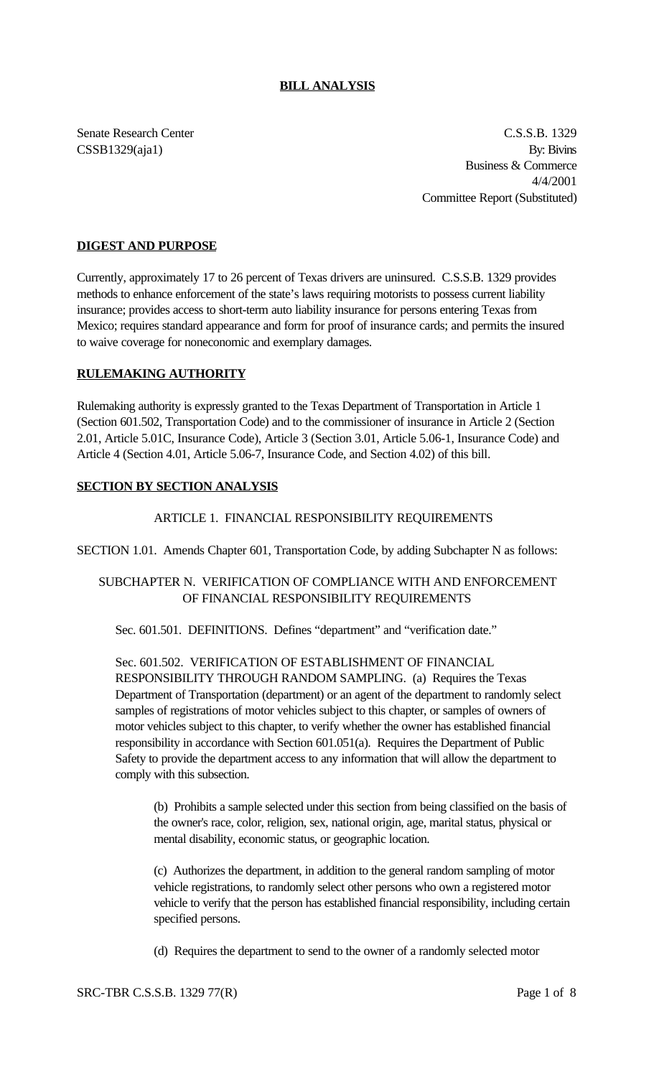### **BILL ANALYSIS**

Senate Research Center C.S.S.B. 1329  $CSSB1329(aja1)$  By: Bivins Business & Commerce 4/4/2001 Committee Report (Substituted)

### **DIGEST AND PURPOSE**

Currently, approximately 17 to 26 percent of Texas drivers are uninsured. C.S.S.B. 1329 provides methods to enhance enforcement of the state's laws requiring motorists to possess current liability insurance; provides access to short-term auto liability insurance for persons entering Texas from Mexico; requires standard appearance and form for proof of insurance cards; and permits the insured to waive coverage for noneconomic and exemplary damages.

#### **RULEMAKING AUTHORITY**

Rulemaking authority is expressly granted to the Texas Department of Transportation in Article 1 (Section 601.502, Transportation Code) and to the commissioner of insurance in Article 2 (Section 2.01, Article 5.01C, Insurance Code), Article 3 (Section 3.01, Article 5.06-1, Insurance Code) and Article 4 (Section 4.01, Article 5.06-7, Insurance Code, and Section 4.02) of this bill.

#### **SECTION BY SECTION ANALYSIS**

#### ARTICLE 1. FINANCIAL RESPONSIBILITY REQUIREMENTS

SECTION 1.01. Amends Chapter 601, Transportation Code, by adding Subchapter N as follows:

# SUBCHAPTER N. VERIFICATION OF COMPLIANCE WITH AND ENFORCEMENT OF FINANCIAL RESPONSIBILITY REQUIREMENTS

Sec. 601.501. DEFINITIONS. Defines "department" and "verification date."

Sec. 601.502. VERIFICATION OF ESTABLISHMENT OF FINANCIAL RESPONSIBILITY THROUGH RANDOM SAMPLING. (a) Requires the Texas Department of Transportation (department) or an agent of the department to randomly select samples of registrations of motor vehicles subject to this chapter, or samples of owners of motor vehicles subject to this chapter, to verify whether the owner has established financial responsibility in accordance with Section 601.051(a). Requires the Department of Public Safety to provide the department access to any information that will allow the department to comply with this subsection.

(b) Prohibits a sample selected under this section from being classified on the basis of the owner's race, color, religion, sex, national origin, age, marital status, physical or mental disability, economic status, or geographic location.

(c) Authorizes the department, in addition to the general random sampling of motor vehicle registrations, to randomly select other persons who own a registered motor vehicle to verify that the person has established financial responsibility, including certain specified persons.

(d) Requires the department to send to the owner of a randomly selected motor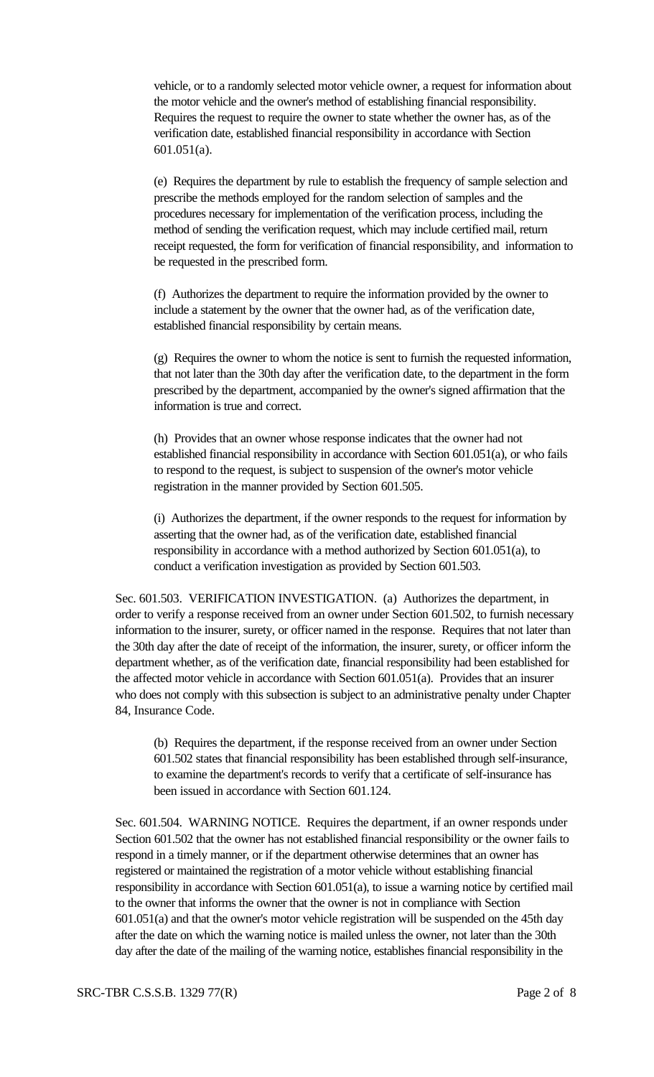vehicle, or to a randomly selected motor vehicle owner, a request for information about the motor vehicle and the owner's method of establishing financial responsibility. Requires the request to require the owner to state whether the owner has, as of the verification date, established financial responsibility in accordance with Section 601.051(a).

(e) Requires the department by rule to establish the frequency of sample selection and prescribe the methods employed for the random selection of samples and the procedures necessary for implementation of the verification process, including the method of sending the verification request, which may include certified mail, return receipt requested, the form for verification of financial responsibility, and information to be requested in the prescribed form.

(f) Authorizes the department to require the information provided by the owner to include a statement by the owner that the owner had, as of the verification date, established financial responsibility by certain means.

(g) Requires the owner to whom the notice is sent to furnish the requested information, that not later than the 30th day after the verification date, to the department in the form prescribed by the department, accompanied by the owner's signed affirmation that the information is true and correct.

(h) Provides that an owner whose response indicates that the owner had not established financial responsibility in accordance with Section 601.051(a), or who fails to respond to the request, is subject to suspension of the owner's motor vehicle registration in the manner provided by Section 601.505.

(i) Authorizes the department, if the owner responds to the request for information by asserting that the owner had, as of the verification date, established financial responsibility in accordance with a method authorized by Section 601.051(a), to conduct a verification investigation as provided by Section 601.503.

Sec. 601.503. VERIFICATION INVESTIGATION. (a) Authorizes the department, in order to verify a response received from an owner under Section 601.502, to furnish necessary information to the insurer, surety, or officer named in the response. Requires that not later than the 30th day after the date of receipt of the information, the insurer, surety, or officer inform the department whether, as of the verification date, financial responsibility had been established for the affected motor vehicle in accordance with Section 601.051(a). Provides that an insurer who does not comply with this subsection is subject to an administrative penalty under Chapter 84, Insurance Code.

(b) Requires the department, if the response received from an owner under Section 601.502 states that financial responsibility has been established through self-insurance, to examine the department's records to verify that a certificate of self-insurance has been issued in accordance with Section 601.124.

Sec. 601.504. WARNING NOTICE. Requires the department, if an owner responds under Section 601.502 that the owner has not established financial responsibility or the owner fails to respond in a timely manner, or if the department otherwise determines that an owner has registered or maintained the registration of a motor vehicle without establishing financial responsibility in accordance with Section 601.051(a), to issue a warning notice by certified mail to the owner that informs the owner that the owner is not in compliance with Section 601.051(a) and that the owner's motor vehicle registration will be suspended on the 45th day after the date on which the warning notice is mailed unless the owner, not later than the 30th day after the date of the mailing of the warning notice, establishes financial responsibility in the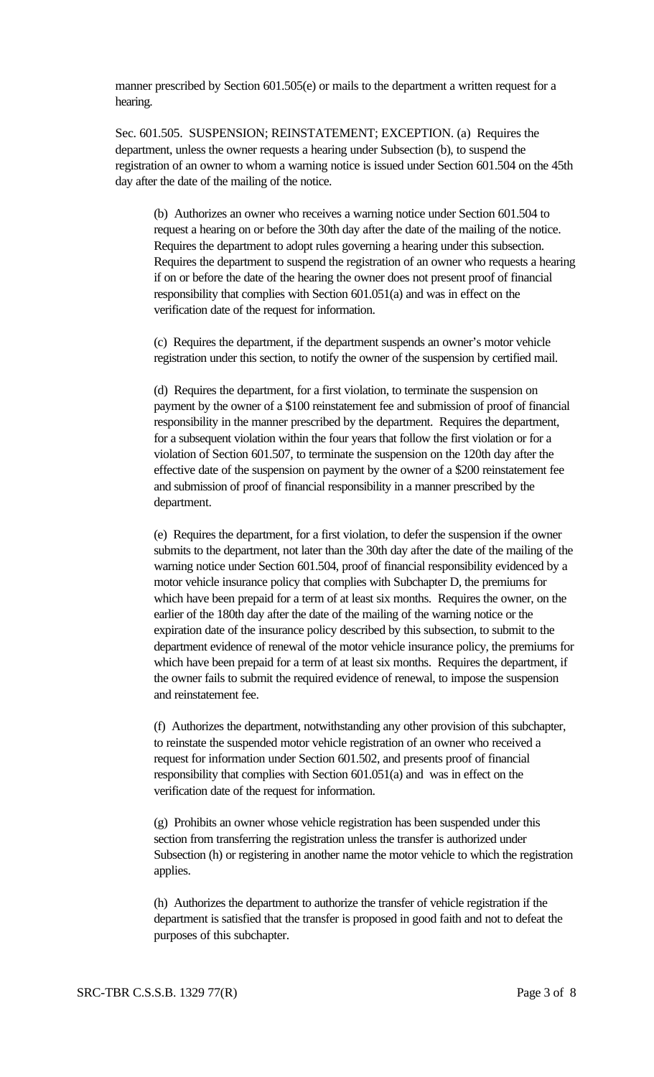manner prescribed by Section 601.505(e) or mails to the department a written request for a hearing.

Sec. 601.505. SUSPENSION; REINSTATEMENT; EXCEPTION. (a) Requires the department, unless the owner requests a hearing under Subsection (b), to suspend the registration of an owner to whom a warning notice is issued under Section 601.504 on the 45th day after the date of the mailing of the notice.

(b) Authorizes an owner who receives a warning notice under Section 601.504 to request a hearing on or before the 30th day after the date of the mailing of the notice. Requires the department to adopt rules governing a hearing under this subsection. Requires the department to suspend the registration of an owner who requests a hearing if on or before the date of the hearing the owner does not present proof of financial responsibility that complies with Section 601.051(a) and was in effect on the verification date of the request for information.

(c) Requires the department, if the department suspends an owner's motor vehicle registration under this section, to notify the owner of the suspension by certified mail.

(d) Requires the department, for a first violation, to terminate the suspension on payment by the owner of a \$100 reinstatement fee and submission of proof of financial responsibility in the manner prescribed by the department. Requires the department, for a subsequent violation within the four years that follow the first violation or for a violation of Section 601.507, to terminate the suspension on the 120th day after the effective date of the suspension on payment by the owner of a \$200 reinstatement fee and submission of proof of financial responsibility in a manner prescribed by the department.

(e) Requires the department, for a first violation, to defer the suspension if the owner submits to the department, not later than the 30th day after the date of the mailing of the warning notice under Section 601.504, proof of financial responsibility evidenced by a motor vehicle insurance policy that complies with Subchapter D, the premiums for which have been prepaid for a term of at least six months. Requires the owner, on the earlier of the 180th day after the date of the mailing of the warning notice or the expiration date of the insurance policy described by this subsection, to submit to the department evidence of renewal of the motor vehicle insurance policy, the premiums for which have been prepaid for a term of at least six months. Requires the department, if the owner fails to submit the required evidence of renewal, to impose the suspension and reinstatement fee.

(f) Authorizes the department, notwithstanding any other provision of this subchapter, to reinstate the suspended motor vehicle registration of an owner who received a request for information under Section 601.502, and presents proof of financial responsibility that complies with Section 601.051(a) and was in effect on the verification date of the request for information.

(g) Prohibits an owner whose vehicle registration has been suspended under this section from transferring the registration unless the transfer is authorized under Subsection (h) or registering in another name the motor vehicle to which the registration applies.

(h) Authorizes the department to authorize the transfer of vehicle registration if the department is satisfied that the transfer is proposed in good faith and not to defeat the purposes of this subchapter.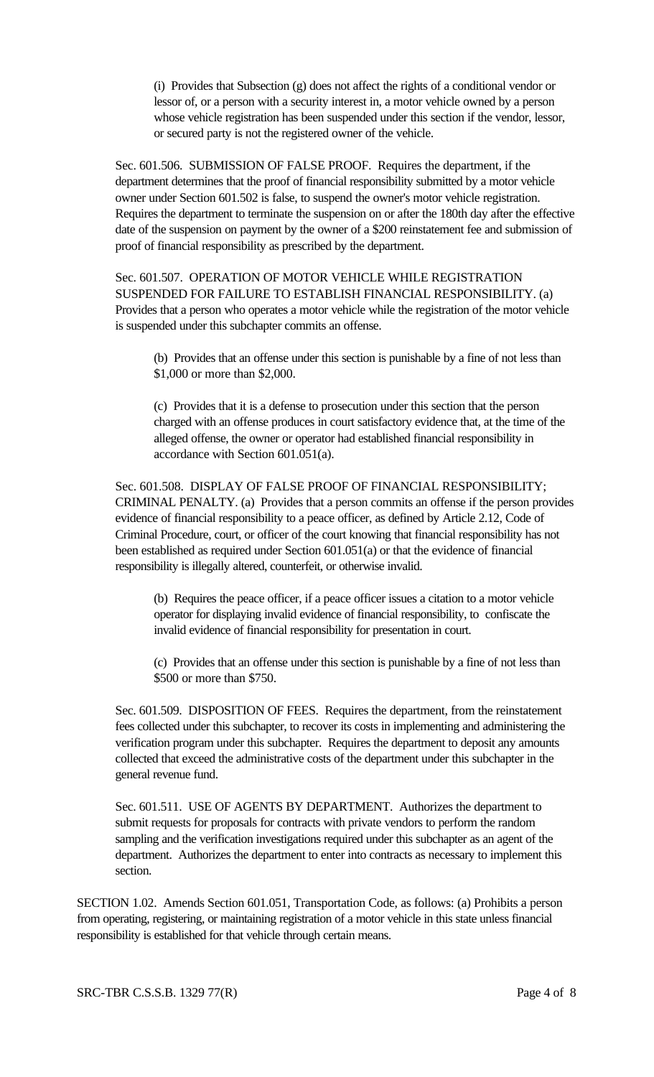(i) Provides that Subsection (g) does not affect the rights of a conditional vendor or lessor of, or a person with a security interest in, a motor vehicle owned by a person whose vehicle registration has been suspended under this section if the vendor, lessor, or secured party is not the registered owner of the vehicle.

Sec. 601.506. SUBMISSION OF FALSE PROOF. Requires the department, if the department determines that the proof of financial responsibility submitted by a motor vehicle owner under Section 601.502 is false, to suspend the owner's motor vehicle registration. Requires the department to terminate the suspension on or after the 180th day after the effective date of the suspension on payment by the owner of a \$200 reinstatement fee and submission of proof of financial responsibility as prescribed by the department.

Sec. 601.507. OPERATION OF MOTOR VEHICLE WHILE REGISTRATION SUSPENDED FOR FAILURE TO ESTABLISH FINANCIAL RESPONSIBILITY. (a) Provides that a person who operates a motor vehicle while the registration of the motor vehicle is suspended under this subchapter commits an offense.

(b) Provides that an offense under this section is punishable by a fine of not less than \$1,000 or more than \$2,000.

(c) Provides that it is a defense to prosecution under this section that the person charged with an offense produces in court satisfactory evidence that, at the time of the alleged offense, the owner or operator had established financial responsibility in accordance with Section 601.051(a).

Sec. 601.508. DISPLAY OF FALSE PROOF OF FINANCIAL RESPONSIBILITY; CRIMINAL PENALTY. (a) Provides that a person commits an offense if the person provides evidence of financial responsibility to a peace officer, as defined by Article 2.12, Code of Criminal Procedure, court, or officer of the court knowing that financial responsibility has not been established as required under Section 601.051(a) or that the evidence of financial responsibility is illegally altered, counterfeit, or otherwise invalid.

(b) Requires the peace officer, if a peace officer issues a citation to a motor vehicle operator for displaying invalid evidence of financial responsibility, to confiscate the invalid evidence of financial responsibility for presentation in court.

(c) Provides that an offense under this section is punishable by a fine of not less than \$500 or more than \$750.

Sec. 601.509. DISPOSITION OF FEES. Requires the department, from the reinstatement fees collected under this subchapter, to recover its costs in implementing and administering the verification program under this subchapter. Requires the department to deposit any amounts collected that exceed the administrative costs of the department under this subchapter in the general revenue fund.

Sec. 601.511. USE OF AGENTS BY DEPARTMENT. Authorizes the department to submit requests for proposals for contracts with private vendors to perform the random sampling and the verification investigations required under this subchapter as an agent of the department. Authorizes the department to enter into contracts as necessary to implement this section.

SECTION 1.02. Amends Section 601.051, Transportation Code, as follows: (a) Prohibits a person from operating, registering, or maintaining registration of a motor vehicle in this state unless financial responsibility is established for that vehicle through certain means.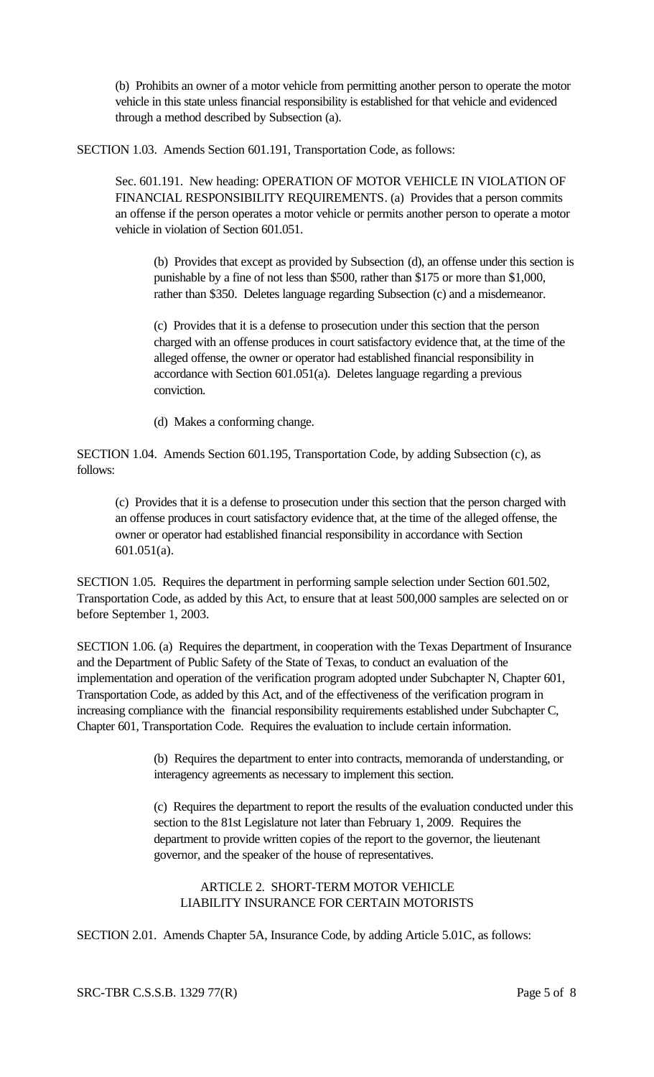(b) Prohibits an owner of a motor vehicle from permitting another person to operate the motor vehicle in this state unless financial responsibility is established for that vehicle and evidenced through a method described by Subsection (a).

SECTION 1.03. Amends Section 601.191, Transportation Code, as follows:

Sec. 601.191. New heading: OPERATION OF MOTOR VEHICLE IN VIOLATION OF FINANCIAL RESPONSIBILITY REQUIREMENTS. (a) Provides that a person commits an offense if the person operates a motor vehicle or permits another person to operate a motor vehicle in violation of Section 601.051.

(b) Provides that except as provided by Subsection (d), an offense under this section is punishable by a fine of not less than \$500, rather than \$175 or more than \$1,000, rather than \$350. Deletes language regarding Subsection (c) and a misdemeanor.

(c) Provides that it is a defense to prosecution under this section that the person charged with an offense produces in court satisfactory evidence that, at the time of the alleged offense, the owner or operator had established financial responsibility in accordance with Section 601.051(a). Deletes language regarding a previous conviction.

(d) Makes a conforming change.

SECTION 1.04. Amends Section 601.195, Transportation Code, by adding Subsection (c), as follows:

(c) Provides that it is a defense to prosecution under this section that the person charged with an offense produces in court satisfactory evidence that, at the time of the alleged offense, the owner or operator had established financial responsibility in accordance with Section 601.051(a).

SECTION 1.05. Requires the department in performing sample selection under Section 601.502, Transportation Code, as added by this Act, to ensure that at least 500,000 samples are selected on or before September 1, 2003.

SECTION 1.06. (a) Requires the department, in cooperation with the Texas Department of Insurance and the Department of Public Safety of the State of Texas, to conduct an evaluation of the implementation and operation of the verification program adopted under Subchapter N, Chapter 601, Transportation Code, as added by this Act, and of the effectiveness of the verification program in increasing compliance with the financial responsibility requirements established under Subchapter C, Chapter 601, Transportation Code. Requires the evaluation to include certain information.

> (b) Requires the department to enter into contracts, memoranda of understanding, or interagency agreements as necessary to implement this section.

(c) Requires the department to report the results of the evaluation conducted under this section to the 81st Legislature not later than February 1, 2009. Requires the department to provide written copies of the report to the governor, the lieutenant governor, and the speaker of the house of representatives.

# ARTICLE 2. SHORT-TERM MOTOR VEHICLE LIABILITY INSURANCE FOR CERTAIN MOTORISTS

SECTION 2.01. Amends Chapter 5A, Insurance Code, by adding Article 5.01C, as follows: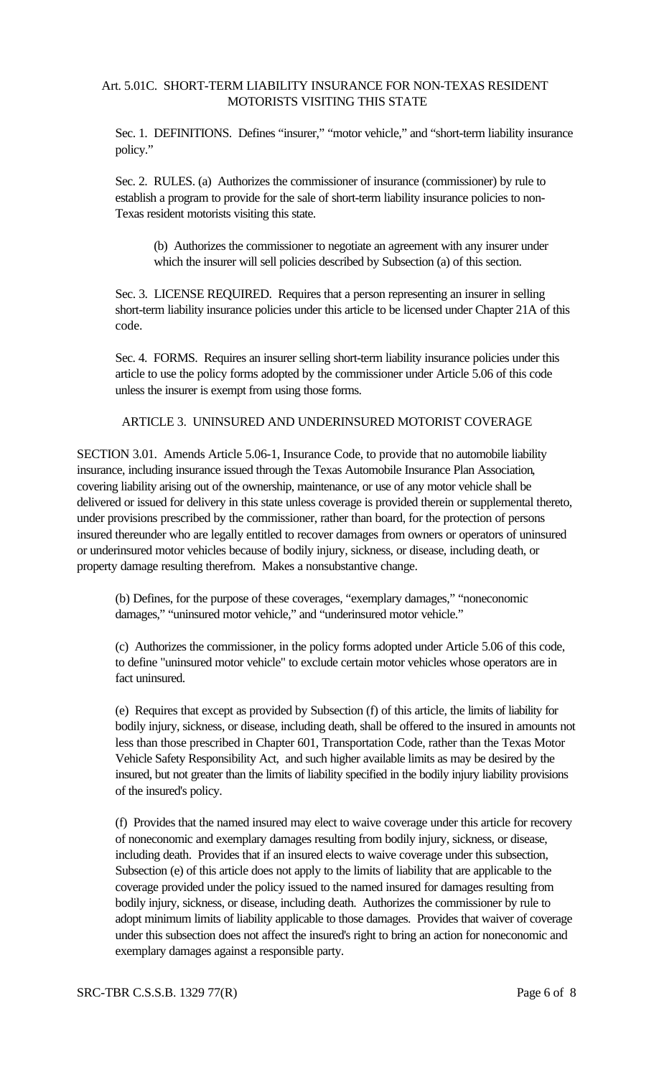# Art. 5.01C. SHORT-TERM LIABILITY INSURANCE FOR NON-TEXAS RESIDENT MOTORISTS VISITING THIS STATE

Sec. 1. DEFINITIONS. Defines "insurer," "motor vehicle," and "short-term liability insurance policy."

Sec. 2. RULES. (a) Authorizes the commissioner of insurance (commissioner) by rule to establish a program to provide for the sale of short-term liability insurance policies to non-Texas resident motorists visiting this state.

(b) Authorizes the commissioner to negotiate an agreement with any insurer under which the insurer will sell policies described by Subsection (a) of this section.

Sec. 3. LICENSE REQUIRED. Requires that a person representing an insurer in selling short-term liability insurance policies under this article to be licensed under Chapter 21A of this code.

Sec. 4. FORMS. Requires an insurer selling short-term liability insurance policies under this article to use the policy forms adopted by the commissioner under Article 5.06 of this code unless the insurer is exempt from using those forms.

### ARTICLE 3. UNINSURED AND UNDERINSURED MOTORIST COVERAGE

SECTION 3.01. Amends Article 5.06-1, Insurance Code, to provide that no automobile liability insurance, including insurance issued through the Texas Automobile Insurance Plan Association, covering liability arising out of the ownership, maintenance, or use of any motor vehicle shall be delivered or issued for delivery in this state unless coverage is provided therein or supplemental thereto, under provisions prescribed by the commissioner, rather than board, for the protection of persons insured thereunder who are legally entitled to recover damages from owners or operators of uninsured or underinsured motor vehicles because of bodily injury, sickness, or disease, including death, or property damage resulting therefrom. Makes a nonsubstantive change.

(b) Defines, for the purpose of these coverages, "exemplary damages," "noneconomic damages," "uninsured motor vehicle," and "underinsured motor vehicle."

(c) Authorizes the commissioner, in the policy forms adopted under Article 5.06 of this code, to define "uninsured motor vehicle" to exclude certain motor vehicles whose operators are in fact uninsured.

(e) Requires that except as provided by Subsection (f) of this article, the limits of liability for bodily injury, sickness, or disease, including death, shall be offered to the insured in amounts not less than those prescribed in Chapter 601, Transportation Code, rather than the Texas Motor Vehicle Safety Responsibility Act, and such higher available limits as may be desired by the insured, but not greater than the limits of liability specified in the bodily injury liability provisions of the insured's policy.

(f) Provides that the named insured may elect to waive coverage under this article for recovery of noneconomic and exemplary damages resulting from bodily injury, sickness, or disease, including death. Provides that if an insured elects to waive coverage under this subsection, Subsection (e) of this article does not apply to the limits of liability that are applicable to the coverage provided under the policy issued to the named insured for damages resulting from bodily injury, sickness, or disease, including death. Authorizes the commissioner by rule to adopt minimum limits of liability applicable to those damages. Provides that waiver of coverage under this subsection does not affect the insured's right to bring an action for noneconomic and exemplary damages against a responsible party.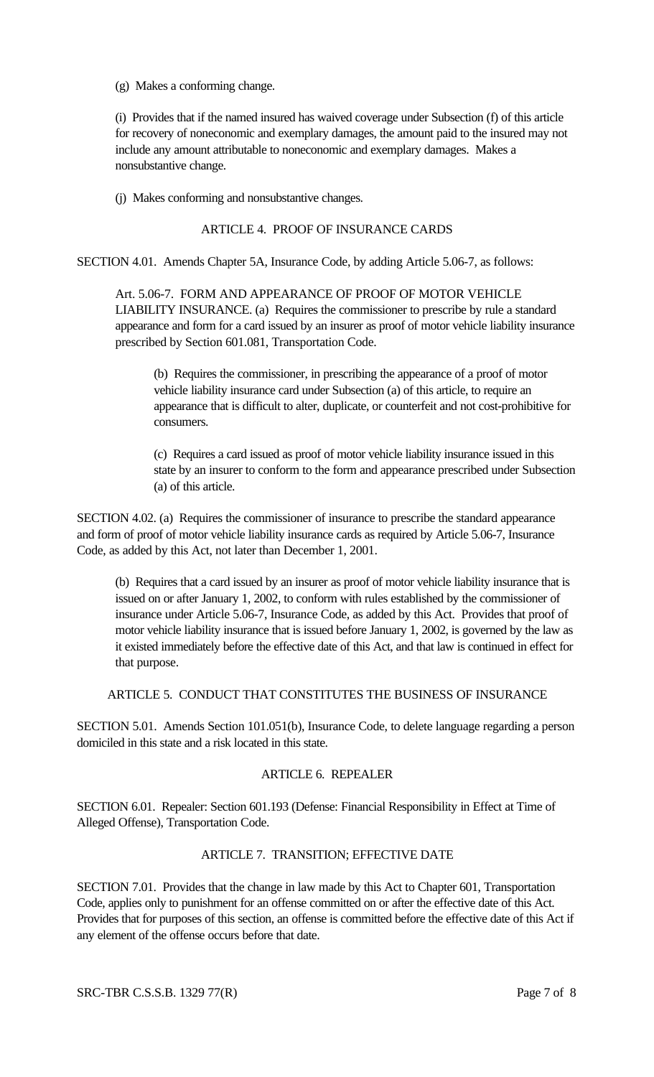(g) Makes a conforming change.

(i) Provides that if the named insured has waived coverage under Subsection (f) of this article for recovery of noneconomic and exemplary damages, the amount paid to the insured may not include any amount attributable to noneconomic and exemplary damages. Makes a nonsubstantive change.

(j) Makes conforming and nonsubstantive changes.

### ARTICLE 4. PROOF OF INSURANCE CARDS

SECTION 4.01. Amends Chapter 5A, Insurance Code, by adding Article 5.06-7, as follows:

Art. 5.06-7. FORM AND APPEARANCE OF PROOF OF MOTOR VEHICLE LIABILITY INSURANCE. (a) Requires the commissioner to prescribe by rule a standard appearance and form for a card issued by an insurer as proof of motor vehicle liability insurance prescribed by Section 601.081, Transportation Code.

(b) Requires the commissioner, in prescribing the appearance of a proof of motor vehicle liability insurance card under Subsection (a) of this article, to require an appearance that is difficult to alter, duplicate, or counterfeit and not cost-prohibitive for consumers.

(c) Requires a card issued as proof of motor vehicle liability insurance issued in this state by an insurer to conform to the form and appearance prescribed under Subsection (a) of this article.

SECTION 4.02. (a) Requires the commissioner of insurance to prescribe the standard appearance and form of proof of motor vehicle liability insurance cards as required by Article 5.06-7, Insurance Code, as added by this Act, not later than December 1, 2001.

(b) Requires that a card issued by an insurer as proof of motor vehicle liability insurance that is issued on or after January 1, 2002, to conform with rules established by the commissioner of insurance under Article 5.06-7, Insurance Code, as added by this Act. Provides that proof of motor vehicle liability insurance that is issued before January 1, 2002, is governed by the law as it existed immediately before the effective date of this Act, and that law is continued in effect for that purpose.

ARTICLE 5. CONDUCT THAT CONSTITUTES THE BUSINESS OF INSURANCE

SECTION 5.01. Amends Section 101.051(b), Insurance Code, to delete language regarding a person domiciled in this state and a risk located in this state.

# ARTICLE 6. REPEALER

SECTION 6.01. Repealer: Section 601.193 (Defense: Financial Responsibility in Effect at Time of Alleged Offense), Transportation Code.

# ARTICLE 7. TRANSITION; EFFECTIVE DATE

SECTION 7.01. Provides that the change in law made by this Act to Chapter 601, Transportation Code, applies only to punishment for an offense committed on or after the effective date of this Act. Provides that for purposes of this section, an offense is committed before the effective date of this Act if any element of the offense occurs before that date.